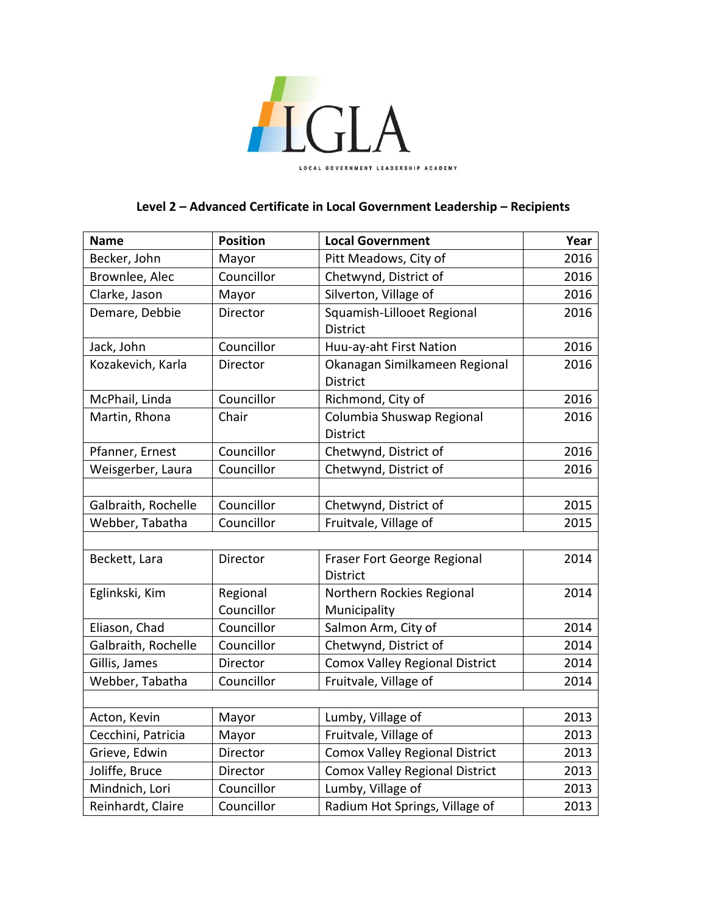

## **Level 2 – Advanced Certificate in Local Government Leadership – Recipients**

| <b>Name</b>         | <b>Position</b> | <b>Local Government</b>                          | Year |
|---------------------|-----------------|--------------------------------------------------|------|
| Becker, John        | Mayor           | Pitt Meadows, City of                            | 2016 |
| Brownlee, Alec      | Councillor      | Chetwynd, District of                            | 2016 |
| Clarke, Jason       | Mayor           | Silverton, Village of                            | 2016 |
| Demare, Debbie      | Director        | Squamish-Lillooet Regional                       | 2016 |
|                     |                 | <b>District</b>                                  |      |
| Jack, John          | Councillor      | Huu-ay-aht First Nation                          | 2016 |
| Kozakevich, Karla   | Director        | Okanagan Similkameen Regional<br><b>District</b> | 2016 |
| McPhail, Linda      | Councillor      | Richmond, City of                                | 2016 |
| Martin, Rhona       | Chair           | Columbia Shuswap Regional                        | 2016 |
|                     |                 | <b>District</b>                                  |      |
| Pfanner, Ernest     | Councillor      | Chetwynd, District of                            | 2016 |
| Weisgerber, Laura   | Councillor      | Chetwynd, District of                            | 2016 |
|                     |                 |                                                  |      |
| Galbraith, Rochelle | Councillor      | Chetwynd, District of                            | 2015 |
| Webber, Tabatha     | Councillor      | Fruitvale, Village of                            | 2015 |
|                     |                 |                                                  |      |
| Beckett, Lara       | Director        | Fraser Fort George Regional                      | 2014 |
|                     |                 | <b>District</b>                                  |      |
| Eglinkski, Kim      | Regional        | Northern Rockies Regional                        | 2014 |
|                     | Councillor      | Municipality                                     |      |
| Eliason, Chad       | Councillor      | Salmon Arm, City of                              | 2014 |
| Galbraith, Rochelle | Councillor      | Chetwynd, District of                            | 2014 |
| Gillis, James       | Director        | <b>Comox Valley Regional District</b>            | 2014 |
| Webber, Tabatha     | Councillor      | Fruitvale, Village of                            | 2014 |
|                     |                 |                                                  |      |
| Acton, Kevin        | Mayor           | Lumby, Village of                                | 2013 |
| Cecchini, Patricia  | Mayor           | Fruitvale, Village of                            | 2013 |
| Grieve, Edwin       | Director        | Comox Valley Regional District                   | 2013 |
| Joliffe, Bruce      | Director        | <b>Comox Valley Regional District</b>            | 2013 |
| Mindnich, Lori      | Councillor      | Lumby, Village of                                | 2013 |
| Reinhardt, Claire   | Councillor      | Radium Hot Springs, Village of                   | 2013 |